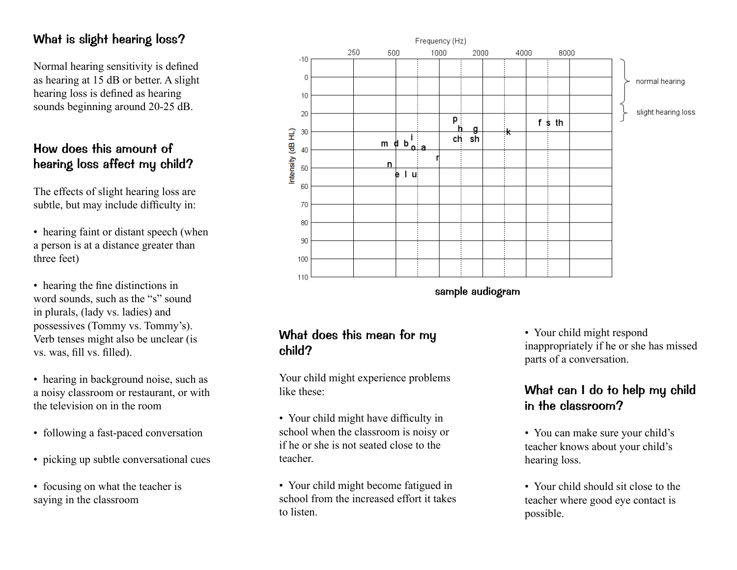# What is slight hearing loss?

Normal hearing sensitivity is defined as hearing at 15 dB or better. A slight hearing loss is defined as hearing sounds beginning around 20-25 dB.

# How does this amount of hearing loss affect my child?

The effects of slight hearing loss are subtle, but may include difficulty in:

- hearing faint or distant speech (when a person is at a distance greater than three feet)
- hearing the fine distinctions in word sounds, such as the "s" sound in plurals, (lady vs. ladies) and possessives (Tommy vs. Tommy's). Verb tenses might also be unclear (is vs. was, fill vs. filled).
- hearing in background noise, such as a noisy classroom or restaurant, or with the television on in the room
- following a fast-paced conversation
- picking up subtle conversational cues
- focusing on what the teacher is saying in the classroom



What does this mean for my child?

Your child might experience problems like these:

- Your child might have difficulty in school when the classroom is noisy or if he or she is not seated close to the teacher.
- Your child might become fatigued in school from the increased effort it takes to listen.

• Your child might respond inappropriately if he or she has missed parts of a conversation.

# What can I do to help my child in the classroom?

- You can make sure your child's teacher knows about your child's hearing loss.
- Your child should sit close to the teacher where good eye contact is possible.